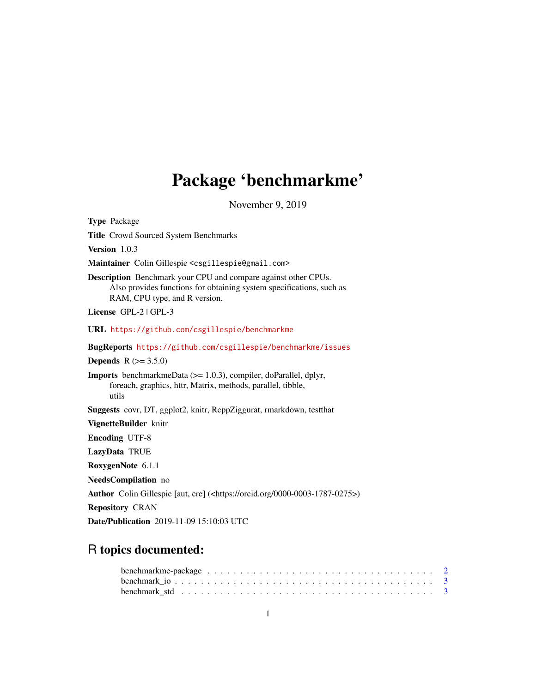# Package 'benchmarkme'

November 9, 2019

| <b>Type Package</b>                                                                                                                                                            |
|--------------------------------------------------------------------------------------------------------------------------------------------------------------------------------|
| Title Crowd Sourced System Benchmarks                                                                                                                                          |
| Version 1.0.3                                                                                                                                                                  |
| Maintainer Colin Gillespie <csgillespie@gmail.com></csgillespie@gmail.com>                                                                                                     |
| <b>Description</b> Benchmark your CPU and compare against other CPUs.<br>Also provides functions for obtaining system specifications, such as<br>RAM, CPU type, and R version. |
| License GPL-2   GPL-3                                                                                                                                                          |
| URL https://github.com/csgillespie/benchmarkme                                                                                                                                 |
| BugReports https://github.com/csgillespie/benchmarkme/issues                                                                                                                   |
| <b>Depends</b> $R (= 3.5.0)$                                                                                                                                                   |
| <b>Imports</b> benchmarkmeData $(>= 1.0.3)$ , compiler, doParallel, dplyr,<br>foreach, graphics, httr, Matrix, methods, parallel, tibble,<br>utils                             |
| Suggests covr, DT, ggplot2, knitr, RcppZiggurat, rmarkdown, testthat                                                                                                           |
| VignetteBuilder knitr                                                                                                                                                          |
| <b>Encoding UTF-8</b>                                                                                                                                                          |
| LazyData TRUE                                                                                                                                                                  |
| RoxygenNote 6.1.1                                                                                                                                                              |
| NeedsCompilation no                                                                                                                                                            |
| Author Colin Gillespie [aut, cre] ( <https: 0000-0003-1787-0275="" orcid.org="">)</https:>                                                                                     |
| <b>Repository CRAN</b>                                                                                                                                                         |
| <b>Date/Publication</b> 2019-11-09 15:10:03 UTC                                                                                                                                |

## R topics documented:

| benchmark std $\ldots \ldots \ldots \ldots \ldots \ldots \ldots \ldots \ldots \ldots \ldots \ldots \ldots$ |  |  |  |  |  |  |  |  |  |  |  |  |  |  |  |  |  |
|------------------------------------------------------------------------------------------------------------|--|--|--|--|--|--|--|--|--|--|--|--|--|--|--|--|--|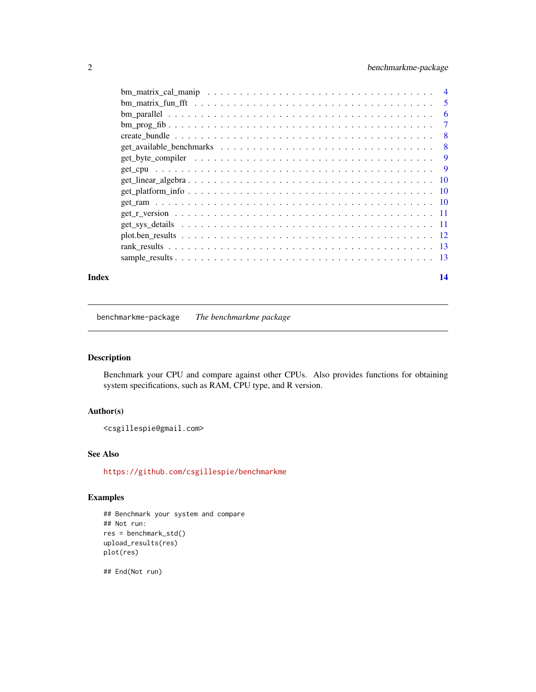<span id="page-1-0"></span>

| 5  |
|----|
| 6  |
| 7  |
| -8 |
| 8  |
| 9  |
|    |
|    |
|    |
|    |
|    |
|    |
|    |
|    |
|    |
|    |

#### **Index** 2008 **[14](#page-13-0)**

benchmarkme-package *The benchmarkme package*

## Description

Benchmark your CPU and compare against other CPUs. Also provides functions for obtaining system specifications, such as RAM, CPU type, and R version.

## Author(s)

<csgillespie@gmail.com>

## See Also

<https://github.com/csgillespie/benchmarkme>

## Examples

```
## Benchmark your system and compare
## Not run:
res = benchmark_std()
upload_results(res)
plot(res)
```
## End(Not run)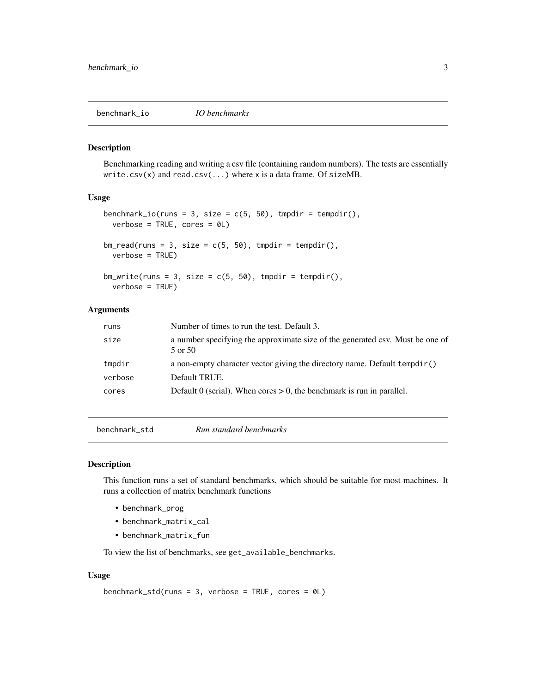<span id="page-2-0"></span>benchmark\_io *IO benchmarks*

#### Description

Benchmarking reading and writing a csv file (containing random numbers). The tests are essentially write.csv(x) and read.csv( $\ldots$ ) where x is a data frame. Of sizeMB.

#### Usage

```
benchmark_io(runs = 3, size = c(5, 50), tmpdir = tempdir(),
 verbose = TRUE, cores = 0L)bm_{read}(runs = 3, size = c(5, 50), tmpdir = tempdir(),verbose = TRUE)
bm_wwrite(runs = 3, size = c(5, 50), tmpdir = tempdir(),
  verbose = TRUE)
```
## Arguments

| runs    | Number of times to run the test. Default 3.                                              |
|---------|------------------------------------------------------------------------------------------|
| size    | a number specifying the approximate size of the generated csv. Must be one of<br>5 or 50 |
| tmpdir  | a non-empty character vector giving the directory name. Default $\mathsf{tempdir}()$     |
| verbose | Default TRUE.                                                                            |
| cores   | Default 0 (serial). When cores $> 0$ , the benchmark is run in parallel.                 |
|         |                                                                                          |

benchmark\_std *Run standard benchmarks*

#### Description

This function runs a set of standard benchmarks, which should be suitable for most machines. It runs a collection of matrix benchmark functions

- benchmark\_prog
- benchmark\_matrix\_cal
- benchmark\_matrix\_fun

To view the list of benchmarks, see get\_available\_benchmarks.

```
benchmark_std(runs = 3, verbose = TRUE, cores = 0L)
```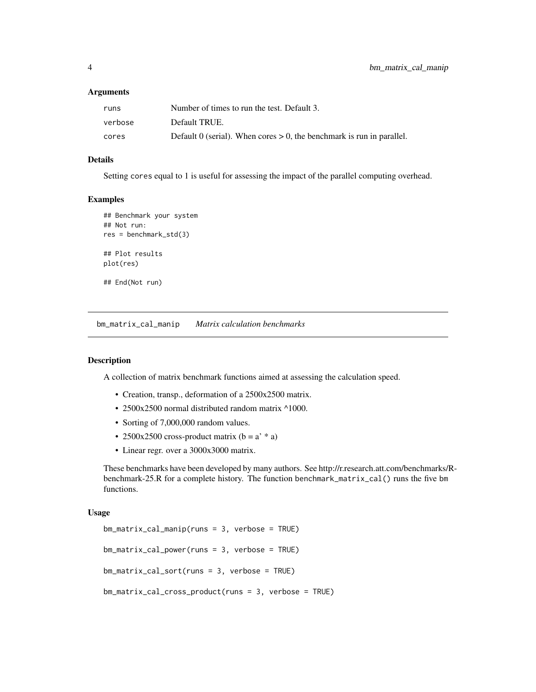#### <span id="page-3-0"></span>**Arguments**

| runs    | Number of times to run the test. Default 3.                              |
|---------|--------------------------------------------------------------------------|
| verbose | Default TRUE.                                                            |
| cores   | Default 0 (serial). When cores $> 0$ , the benchmark is run in parallel. |

## Details

Setting cores equal to 1 is useful for assessing the impact of the parallel computing overhead.

#### Examples

```
## Benchmark your system
## Not run:
res = benchmark_std(3)
## Plot results
plot(res)
## End(Not run)
```
bm\_matrix\_cal\_manip *Matrix calculation benchmarks*

## Description

A collection of matrix benchmark functions aimed at assessing the calculation speed.

- Creation, transp., deformation of a 2500x2500 matrix.
- 2500x2500 normal distributed random matrix ^1000.
- Sorting of 7,000,000 random values.
- 2500x2500 cross-product matrix  $(b = a' * a)$
- Linear regr. over a 3000x3000 matrix.

These benchmarks have been developed by many authors. See http://r.research.att.com/benchmarks/Rbenchmark-25.R for a complete history. The function benchmark\_matrix\_cal() runs the five bm functions.

```
bm_matrix_cal_manip(runs = 3, verbose = TRUE)
bm_matrix_cal_power(runs = 3, verbose = TRUE)
bm_matrix_cal_sort(runs = 3, verbose = TRUE)
bm_matrix_cal_cross_product(runs = 3, verbose = TRUE)
```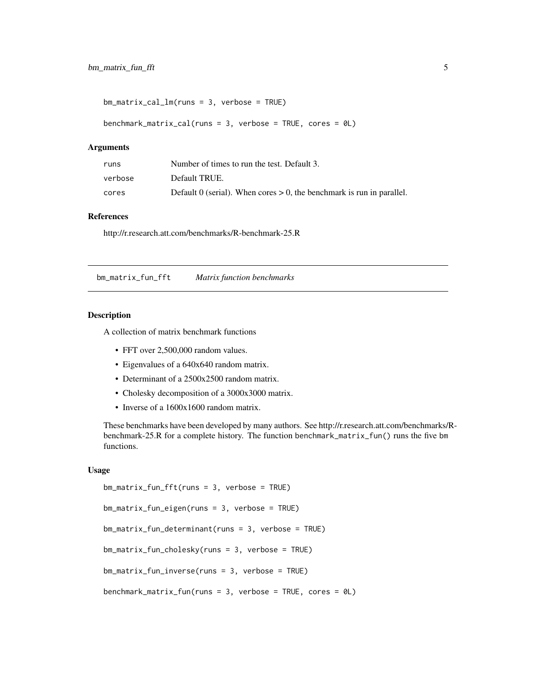```
bm_matrix_cal_lm(runs = 3, verbose = TRUE)
```

```
benchmark_matrix_cal(runs = 3, verbose = TRUE, cores = 0L)
```
#### Arguments

| runs    | Number of times to run the test. Default 3.                            |
|---------|------------------------------------------------------------------------|
| verbose | Default TRUE.                                                          |
| cores   | Default 0 (serial). When $\cos$ > 0, the benchmark is run in parallel. |

#### References

http://r.research.att.com/benchmarks/R-benchmark-25.R

bm\_matrix\_fun\_fft *Matrix function benchmarks*

#### Description

A collection of matrix benchmark functions

- FFT over 2,500,000 random values.
- Eigenvalues of a 640x640 random matrix.
- Determinant of a 2500x2500 random matrix.
- Cholesky decomposition of a 3000x3000 matrix.
- Inverse of a 1600x1600 random matrix.

These benchmarks have been developed by many authors. See http://r.research.att.com/benchmarks/Rbenchmark-25.R for a complete history. The function benchmark\_matrix\_fun() runs the five bm functions.

```
bm_matrix_fun_fft(runs = 3, verbose = TRUE)
bm_matrix_fun_eigen(runs = 3, verbose = TRUE)
bm_matrix_fun_determinant(runs = 3, verbose = TRUE)
bm_matrix_fun_cholesky(runs = 3, verbose = TRUE)
bm_matrix_fun_inverse(runs = 3, verbose = TRUE)
benchmark_matrix_fun(runs = 3, verbose = TRUE, cores = 0L)
```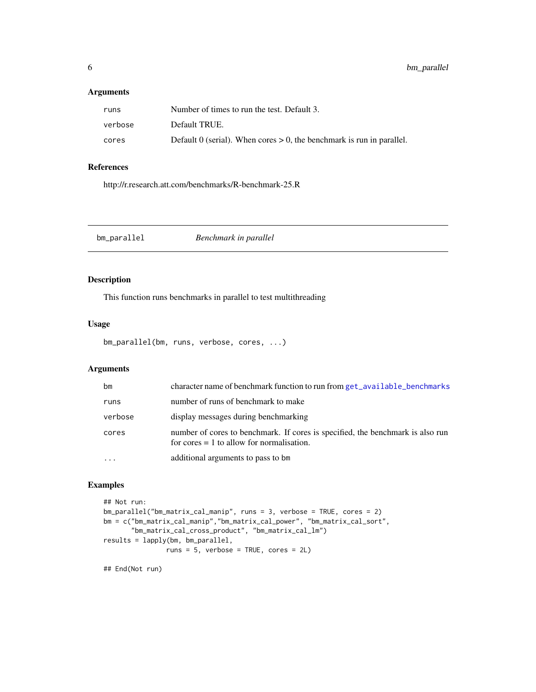### <span id="page-5-0"></span>Arguments

| runs    | Number of times to run the test. Default 3.                              |
|---------|--------------------------------------------------------------------------|
| verbose | Default TRUE.                                                            |
| cores   | Default 0 (serial). When cores $> 0$ , the benchmark is run in parallel. |

## References

http://r.research.att.com/benchmarks/R-benchmark-25.R

bm\_parallel *Benchmark in parallel*

## Description

This function runs benchmarks in parallel to test multithreading

#### Usage

```
bm_parallel(bm, runs, verbose, cores, ...)
```
## Arguments

| bm      | character name of benchmark function to run from get_available_benchmarks                                                     |
|---------|-------------------------------------------------------------------------------------------------------------------------------|
| runs    | number of runs of benchmark to make                                                                                           |
| verbose | display messages during benchmarking                                                                                          |
| cores   | number of cores to benchmark. If cores is specified, the benchmark is also run<br>for cores $= 1$ to allow for normalisation. |
|         | additional arguments to pass to bm                                                                                            |

## Examples

```
## Not run:
bm_parallel("bm_matrix_cal_manip", runs = 3, verbose = TRUE, cores = 2)
bm = c("bm_matrix_cal_manip","bm_matrix_cal_power", "bm_matrix_cal_sort",
       "bm_matrix_cal_cross_product", "bm_matrix_cal_lm")
results = lapply(bm, bm_parallel,
                runs = 5, verbose = TRUE, cores = 2L)
```
## End(Not run)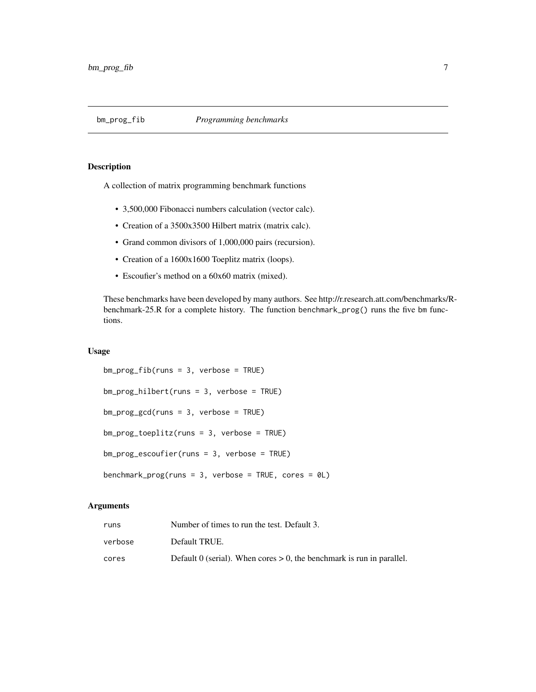<span id="page-6-0"></span>

## Description

A collection of matrix programming benchmark functions

- 3,500,000 Fibonacci numbers calculation (vector calc).
- Creation of a 3500x3500 Hilbert matrix (matrix calc).
- Grand common divisors of 1,000,000 pairs (recursion).
- Creation of a 1600x1600 Toeplitz matrix (loops).
- Escoufier's method on a 60x60 matrix (mixed).

These benchmarks have been developed by many authors. See http://r.research.att.com/benchmarks/Rbenchmark-25.R for a complete history. The function benchmark\_prog() runs the five bm functions.

### Usage

```
bm_prog_fib(runs = 3, verbose = TRUE)
bm_prog_hilbert(runs = 3, verbose = TRUE)
bm_prog_gcd(runs = 3, verbose = TRUE)
bm_prog_toeplitz(runs = 3, verbose = TRUE)
bm_prog_escoufier(runs = 3, verbose = TRUE)
benchmark_prog(runs = 3, verbose = TRUE, cores = 0L)
```
## **Arguments**

| runs    | Number of times to run the test. Default 3.                              |
|---------|--------------------------------------------------------------------------|
| verbose | Default TRUE.                                                            |
| cores   | Default 0 (serial). When cores $> 0$ , the benchmark is run in parallel. |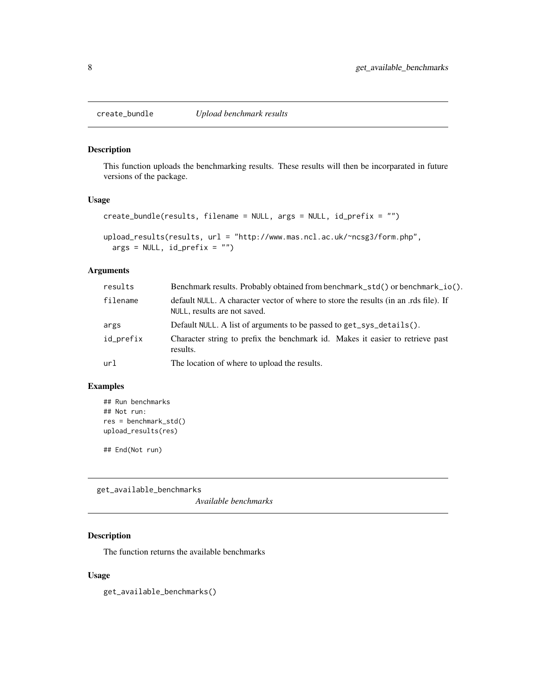<span id="page-7-0"></span>

#### Description

This function uploads the benchmarking results. These results will then be incorparated in future versions of the package.

#### Usage

```
create_bundle(results, filename = NULL, args = NULL, id_prefix = "")
```

```
upload_results(results, url = "http://www.mas.ncl.ac.uk/~ncsg3/form.php",
  args = NULL, id_prefix = "")
```
### Arguments

| results   | Benchmark results. Probably obtained from benchmark_std() or benchmark_io().                                         |
|-----------|----------------------------------------------------------------------------------------------------------------------|
| filename  | default NULL. A character vector of where to store the results (in an .rds file). If<br>NULL, results are not saved. |
| args      | Default NULL. A list of arguments to be passed to get_sys_details().                                                 |
| id_prefix | Character string to prefix the benchmark id. Makes it easier to retrieve past<br>results.                            |
| url       | The location of where to upload the results.                                                                         |

### Examples

```
## Run benchmarks
## Not run:
res = benchmark_std()
upload_results(res)
```
## End(Not run)

<span id="page-7-1"></span>get\_available\_benchmarks

*Available benchmarks*

## Description

The function returns the available benchmarks

## Usage

get\_available\_benchmarks()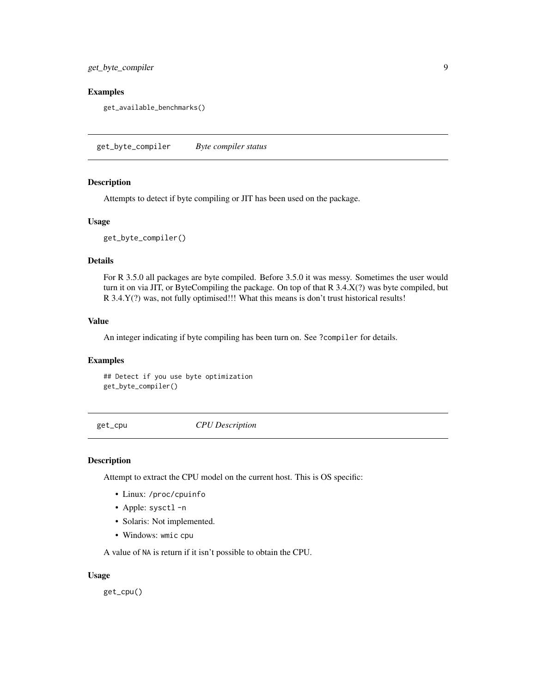<span id="page-8-0"></span>get\_byte\_compiler 9

#### Examples

get\_available\_benchmarks()

get\_byte\_compiler *Byte compiler status*

#### Description

Attempts to detect if byte compiling or JIT has been used on the package.

#### Usage

get\_byte\_compiler()

#### Details

For R 3.5.0 all packages are byte compiled. Before 3.5.0 it was messy. Sometimes the user would turn it on via JIT, or ByteCompiling the package. On top of that R 3.4.X(?) was byte compiled, but R 3.4.Y(?) was, not fully optimised!!! What this means is don't trust historical results!

#### Value

An integer indicating if byte compiling has been turn on. See ?compiler for details.

#### Examples

## Detect if you use byte optimization get\_byte\_compiler()

get\_cpu *CPU Description*

#### Description

Attempt to extract the CPU model on the current host. This is OS specific:

- Linux: /proc/cpuinfo
- Apple: sysctl -n
- Solaris: Not implemented.
- Windows: wmic cpu

A value of NA is return if it isn't possible to obtain the CPU.

#### Usage

get\_cpu()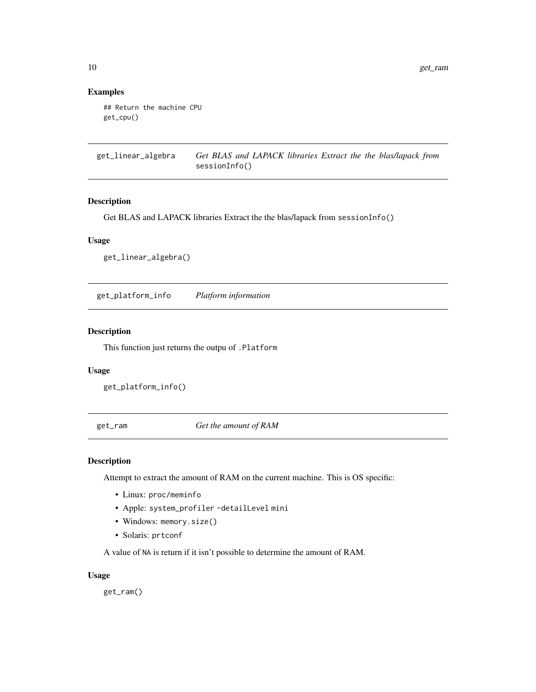## Examples

```
## Return the machine CPU
get_cpu()
```
get\_linear\_algebra *Get BLAS and LAPACK libraries Extract the the blas/lapack from* sessionInfo()

#### Description

Get BLAS and LAPACK libraries Extract the the blas/lapack from sessionInfo()

## Usage

get\_linear\_algebra()

get\_platform\_info *Platform information*

## Description

This function just returns the outpu of .Platform

#### Usage

get\_platform\_info()

get\_ram *Get the amount of RAM*

## Description

Attempt to extract the amount of RAM on the current machine. This is OS specific:

- Linux: proc/meminfo
- Apple: system\_profiler -detailLevel mini
- Windows: memory.size()
- Solaris: prtconf

A value of NA is return if it isn't possible to determine the amount of RAM.

#### Usage

get\_ram()

<span id="page-9-0"></span>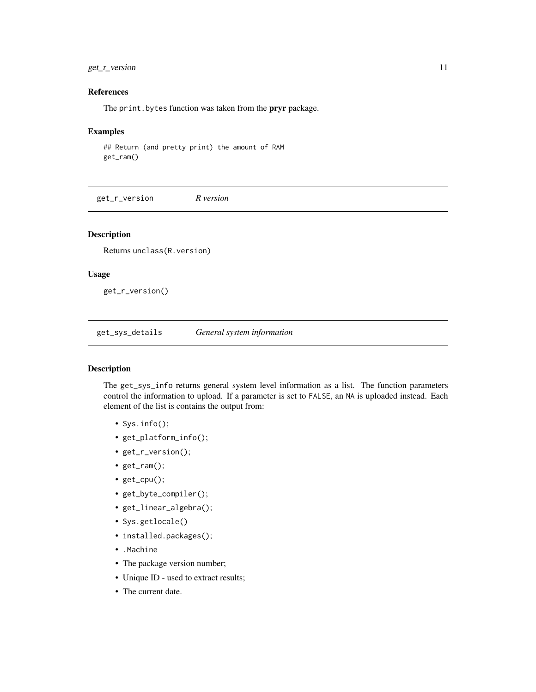## <span id="page-10-0"></span>get\_r\_version 11

## References

The print. bytes function was taken from the **pryr** package.

#### Examples

## Return (and pretty print) the amount of RAM get\_ram()

get\_r\_version *R version*

#### Description

Returns unclass(R.version)

#### Usage

get\_r\_version()

get\_sys\_details *General system information*

#### Description

The get\_sys\_info returns general system level information as a list. The function parameters control the information to upload. If a parameter is set to FALSE, an NA is uploaded instead. Each element of the list is contains the output from:

- Sys.info();
- get\_platform\_info();
- get\_r\_version();
- get\_ram();
- get\_cpu();
- get\_byte\_compiler();
- get\_linear\_algebra();
- Sys.getlocale()
- installed.packages();
- .Machine
- The package version number;
- Unique ID used to extract results;
- The current date.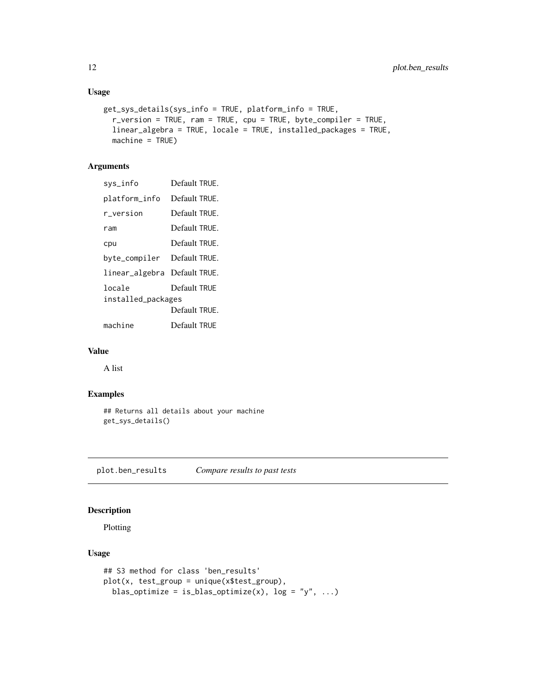## Usage

```
get_sys_details(sys_info = TRUE, platform_info = TRUE,
 r_version = TRUE, ram = TRUE, cpu = TRUE, byte_compiler = TRUE,
 linear_algebra = TRUE, locale = TRUE, installed_packages = TRUE,
 machine = TRUE)
```
## Arguments

| sys_info                      | Default TRUE. |
|-------------------------------|---------------|
| platform_info                 | Default TRUE. |
| r version                     | Default TRUE. |
| ram                           | Default TRUE. |
| cpu                           | Default TRUF. |
| byte_compiler DefaultTRUE.    |               |
| linear_algebra  Default TRUE. |               |
| locale<br>installed_packages  | Default TRUF  |
|                               | Default TRUE. |
| machine                       | Default TRUF  |

### Value

A list

## Examples

```
## Returns all details about your machine
get_sys_details()
```
plot.ben\_results *Compare results to past tests*

## Description

Plotting

```
## S3 method for class 'ben_results'
plot(x, test_group = unique(x$test_group),
 blas_optimize = is_blas_optimize(x), log = "y", ...)
```
<span id="page-11-0"></span>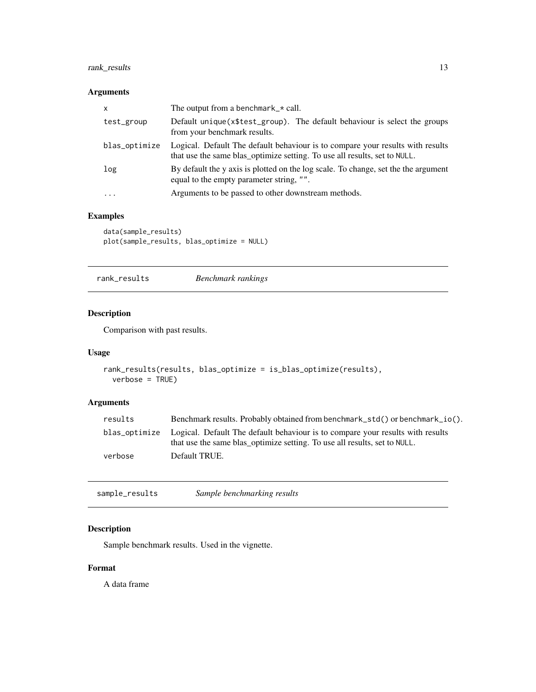## <span id="page-12-0"></span>rank\_results 13

## Arguments

| $\mathsf{x}$  | The output from a benchmark $\star$ call.                                                                                                                   |
|---------------|-------------------------------------------------------------------------------------------------------------------------------------------------------------|
| test_group    | Default unique (x\$test_group). The default behaviour is select the groups<br>from your benchmark results.                                                  |
| blas_optimize | Logical. Default The default behaviour is to compare your results with results<br>that use the same blas_optimize setting. To use all results, set to NULL. |
| log           | By default the y axis is plotted on the log scale. To change, set the the argument<br>equal to the empty parameter string, "".                              |
| $\cdot$       | Arguments to be passed to other downstream methods.                                                                                                         |

## Examples

data(sample\_results) plot(sample\_results, blas\_optimize = NULL)

| rank_results | Benchmark rankings |
|--------------|--------------------|
|--------------|--------------------|

## Description

Comparison with past results.

## Usage

```
rank_results(results, blas_optimize = is_blas_optimize(results),
 verbose = TRUE)
```
## Arguments

| results | Benchmark results. Probably obtained from benchmark_std() or benchmark_io().                                                                                              |
|---------|---------------------------------------------------------------------------------------------------------------------------------------------------------------------------|
|         | blas_optimize Logical. Default The default behaviour is to compare your results with results<br>that use the same blas_optimize setting. To use all results, set to NULL. |
| verbose | Default TRUE.                                                                                                                                                             |

sample\_results *Sample benchmarking results*

## Description

Sample benchmark results. Used in the vignette.

## Format

A data frame